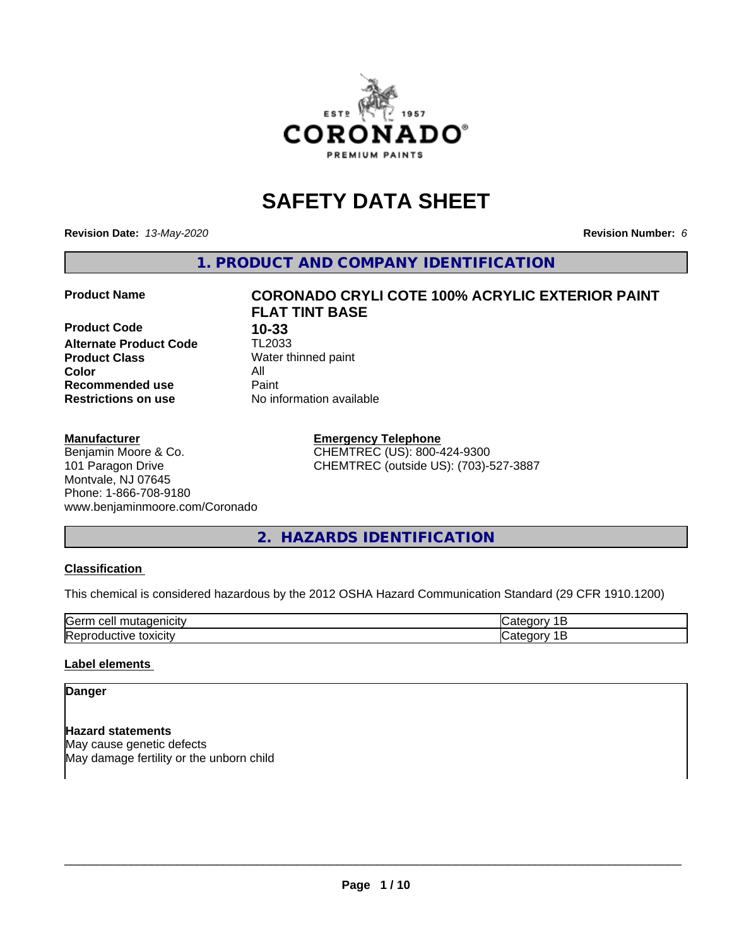

# **SAFETY DATA SHEET**

**Revision Date:** *13-May-2020* **Revision Number:** *6*

**1. PRODUCT AND COMPANY IDENTIFICATION**

**Product Code 10-33**<br>**Alternate Product Code 11-2033 Alternate Product Code Product Class** Water thinned paint<br> **Color** All **Color** All **Recommended use Caint Restrictions on use** No information available

# **Product Name CORONADO CRYLI COTE 100% ACRYLIC EXTERIOR PAINT FLAT TINT BASE**

### **Manufacturer**

Benjamin Moore & Co. 101 Paragon Drive Montvale, NJ 07645 Phone: 1-866-708-9180 www.benjaminmoore.com/Coronado

#### **Emergency Telephone** CHEMTREC (US): 800-424-9300 CHEMTREC (outside US): (703)-527-3887

# **2. HAZARDS IDENTIFICATION**

# **Classification**

This chemical is considered hazardous by the 2012 OSHA Hazard Communication Standard (29 CFR 1910.1200)

| -<br>Kierm<br>.<br>--<br>ווב<br>ш |  |
|-----------------------------------|--|
|                                   |  |

# **Label elements**

# **Danger**

**Hazard statements** May cause genetic defects May damage fertility or the unborn child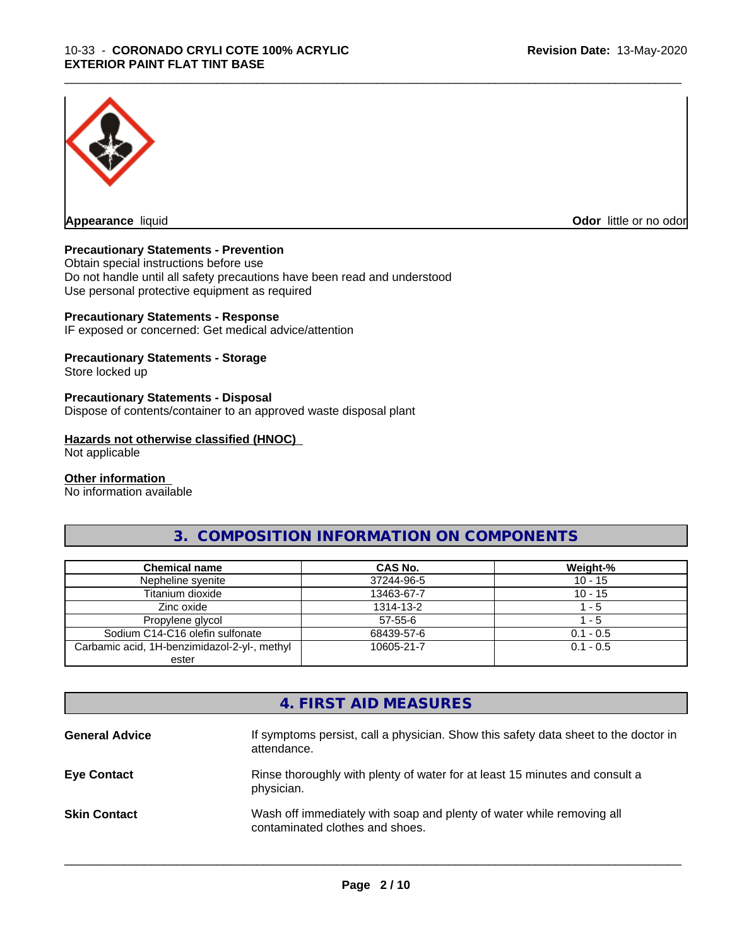

**Appearance** liquid **Odor in the original of the original of the original of the original of the original of the original of the original of the original of the original of the original of the original of the original of t** 

# **Precautionary Statements - Prevention**

Obtain special instructions before use Do not handle until all safety precautions have been read and understood Use personal protective equipment as required

## **Precautionary Statements - Response**

IF exposed or concerned: Get medical advice/attention

# **Precautionary Statements - Storage**

Store locked up

# **Precautionary Statements - Disposal**

Dispose of contents/container to an approved waste disposal plant

### **Hazards not otherwise classified (HNOC)**

Not applicable

#### **Other information**

No information available

# **3. COMPOSITION INFORMATION ON COMPONENTS**

\_\_\_\_\_\_\_\_\_\_\_\_\_\_\_\_\_\_\_\_\_\_\_\_\_\_\_\_\_\_\_\_\_\_\_\_\_\_\_\_\_\_\_\_\_\_\_\_\_\_\_\_\_\_\_\_\_\_\_\_\_\_\_\_\_\_\_\_\_\_\_\_\_\_\_\_\_\_\_\_\_\_\_\_\_\_\_\_\_\_\_\_\_

| <b>Chemical name</b>                         | CAS No.       | Weight-%    |
|----------------------------------------------|---------------|-------------|
| Nepheline syenite                            | 37244-96-5    | $10 - 15$   |
| Titanium dioxide                             | 13463-67-7    | $10 - 15$   |
| Zinc oxide                                   | 1314-13-2     | - 5         |
| Propylene glycol                             | $57 - 55 - 6$ | $-5$        |
| Sodium C14-C16 olefin sulfonate              | 68439-57-6    | $0.1 - 0.5$ |
| Carbamic acid, 1H-benzimidazol-2-yl-, methyl | 10605-21-7    | $0.1 - 0.5$ |
| ester                                        |               |             |

# **4. FIRST AID MEASURES**

| <b>General Advice</b> | If symptoms persist, call a physician. Show this safety data sheet to the doctor in<br>attendance.       |
|-----------------------|----------------------------------------------------------------------------------------------------------|
| <b>Eye Contact</b>    | Rinse thoroughly with plenty of water for at least 15 minutes and consult a<br>physician.                |
| <b>Skin Contact</b>   | Wash off immediately with soap and plenty of water while removing all<br>contaminated clothes and shoes. |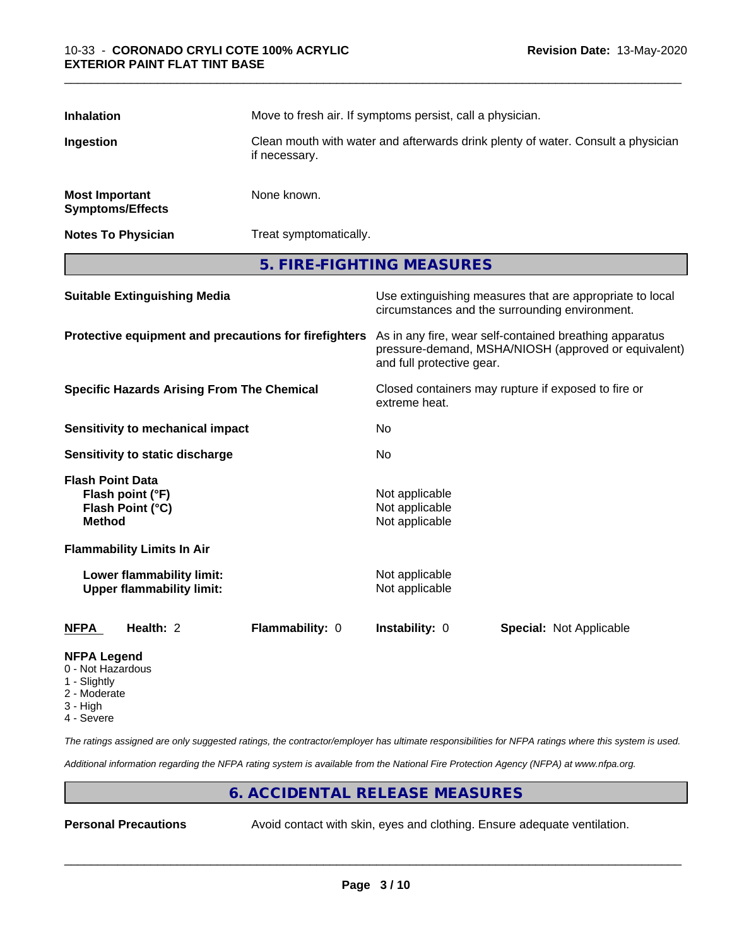| <b>Inhalation</b>                                                                |                                                               | Move to fresh air. If symptoms persist, call a physician.                                                                                    |                                                    |                                                                                                            |  |
|----------------------------------------------------------------------------------|---------------------------------------------------------------|----------------------------------------------------------------------------------------------------------------------------------------------|----------------------------------------------------|------------------------------------------------------------------------------------------------------------|--|
| Ingestion                                                                        |                                                               | Clean mouth with water and afterwards drink plenty of water. Consult a physician<br>if necessary.                                            |                                                    |                                                                                                            |  |
| <b>Most Important</b><br><b>Symptoms/Effects</b>                                 |                                                               | None known.                                                                                                                                  |                                                    |                                                                                                            |  |
| <b>Notes To Physician</b>                                                        |                                                               | Treat symptomatically.                                                                                                                       |                                                    |                                                                                                            |  |
|                                                                                  |                                                               |                                                                                                                                              | 5. FIRE-FIGHTING MEASURES                          |                                                                                                            |  |
|                                                                                  | <b>Suitable Extinguishing Media</b>                           |                                                                                                                                              |                                                    | Use extinguishing measures that are appropriate to local<br>circumstances and the surrounding environment. |  |
| Protective equipment and precautions for firefighters                            |                                                               | As in any fire, wear self-contained breathing apparatus<br>pressure-demand, MSHA/NIOSH (approved or equivalent)<br>and full protective gear. |                                                    |                                                                                                            |  |
| <b>Specific Hazards Arising From The Chemical</b>                                |                                                               | Closed containers may rupture if exposed to fire or<br>extreme heat.                                                                         |                                                    |                                                                                                            |  |
| <b>Sensitivity to mechanical impact</b>                                          |                                                               | No                                                                                                                                           |                                                    |                                                                                                            |  |
|                                                                                  | Sensitivity to static discharge                               |                                                                                                                                              | No                                                 |                                                                                                            |  |
| <b>Flash Point Data</b><br>Flash point (°F)<br>Flash Point (°C)<br><b>Method</b> |                                                               |                                                                                                                                              | Not applicable<br>Not applicable<br>Not applicable |                                                                                                            |  |
|                                                                                  | <b>Flammability Limits In Air</b>                             |                                                                                                                                              |                                                    |                                                                                                            |  |
|                                                                                  | Lower flammability limit:<br><b>Upper flammability limit:</b> |                                                                                                                                              | Not applicable<br>Not applicable                   |                                                                                                            |  |
| <b>NFPA</b>                                                                      | Health: 2                                                     | Flammability: 0                                                                                                                              | Instability: 0                                     | <b>Special: Not Applicable</b>                                                                             |  |
| <b>NFPA Legend</b><br>0 - Not Hazardous<br><b>Clighthe</b>                       |                                                               |                                                                                                                                              |                                                    |                                                                                                            |  |

- Slightly
- 2 Moderate
- 3 High
- 4 Severe

*The ratings assigned are only suggested ratings, the contractor/employer has ultimate responsibilities for NFPA ratings where this system is used.*

*Additional information regarding the NFPA rating system is available from the National Fire Protection Agency (NFPA) at www.nfpa.org.*

# **6. ACCIDENTAL RELEASE MEASURES**

**Personal Precautions** Avoid contact with skin, eyes and clothing. Ensure adequate ventilation.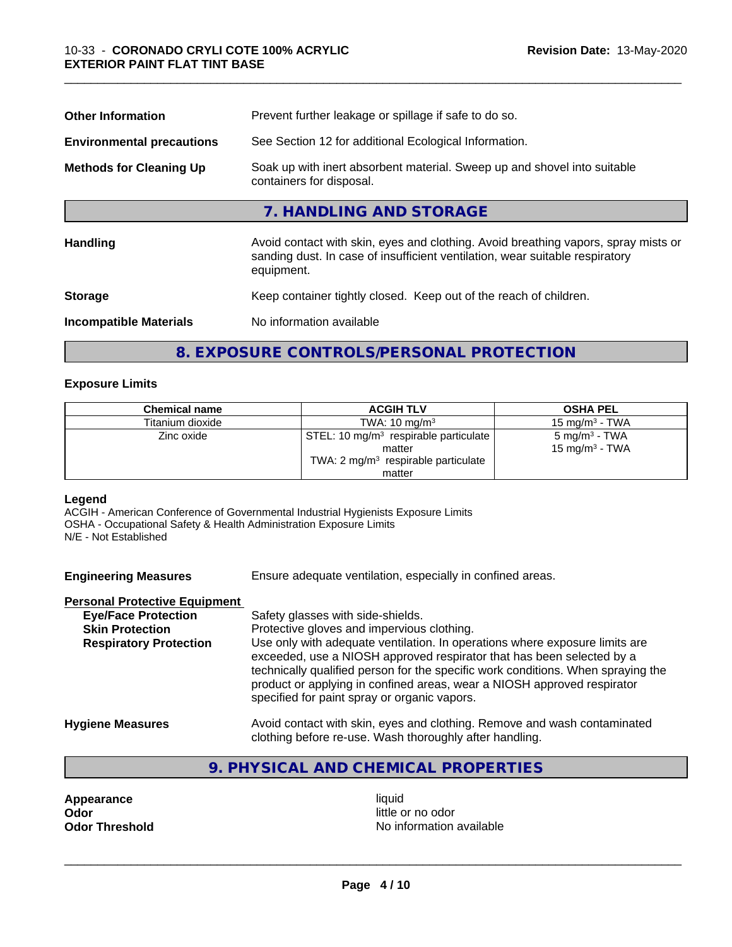| <b>Other Information</b>                                                                                                               | Prevent further leakage or spillage if safe to do so.                                                                                                                            |  |  |
|----------------------------------------------------------------------------------------------------------------------------------------|----------------------------------------------------------------------------------------------------------------------------------------------------------------------------------|--|--|
| <b>Environmental precautions</b>                                                                                                       | See Section 12 for additional Ecological Information.                                                                                                                            |  |  |
| <b>Methods for Cleaning Up</b><br>Soak up with inert absorbent material. Sweep up and shovel into suitable<br>containers for disposal. |                                                                                                                                                                                  |  |  |
|                                                                                                                                        | 7. HANDLING AND STORAGE                                                                                                                                                          |  |  |
| <b>Handling</b>                                                                                                                        | Avoid contact with skin, eyes and clothing. Avoid breathing vapors, spray mists or<br>sanding dust. In case of insufficient ventilation, wear suitable respiratory<br>equipment. |  |  |
| <b>Storage</b>                                                                                                                         | Keep container tightly closed. Keep out of the reach of children.                                                                                                                |  |  |
| No information available<br><b>Incompatible Materials</b>                                                                              |                                                                                                                                                                                  |  |  |

# **8. EXPOSURE CONTROLS/PERSONAL PROTECTION**

# **Exposure Limits**

| <b>Chemical name</b> | <b>ACGIH TLV</b>                                                                                                | <b>OSHA PEL</b>                                |
|----------------------|-----------------------------------------------------------------------------------------------------------------|------------------------------------------------|
| Titanium dioxide     | TWA: $10 \text{ ma/m}^3$                                                                                        | 15 mg/m $3$ - TWA                              |
| Zinc oxide           | STEL: 10 mg/m <sup>3</sup> respirable particulate  <br>matter<br>TWA: $2 \text{ mg/m}^3$ respirable particulate | 5 mg/m <sup>3</sup> - TWA<br>15 mg/m $3$ - TWA |
|                      | matter                                                                                                          |                                                |

### **Legend**

ACGIH - American Conference of Governmental Industrial Hygienists Exposure Limits OSHA - Occupational Safety & Health Administration Exposure Limits N/E - Not Established

| <b>Engineering Measures</b> | Ensure adequate ventilation, especially in confined areas. |
|-----------------------------|------------------------------------------------------------|
|                             |                                                            |

# **Personal Protective Equipment**

| <b>Eye/Face Protection</b>    | Safety glasses with side-shields.                                                                                                                                                                                                                                                                                                                                   |
|-------------------------------|---------------------------------------------------------------------------------------------------------------------------------------------------------------------------------------------------------------------------------------------------------------------------------------------------------------------------------------------------------------------|
| <b>Skin Protection</b>        | Protective gloves and impervious clothing.                                                                                                                                                                                                                                                                                                                          |
| <b>Respiratory Protection</b> | Use only with adequate ventilation. In operations where exposure limits are<br>exceeded, use a NIOSH approved respirator that has been selected by a<br>technically qualified person for the specific work conditions. When spraying the<br>product or applying in confined areas, wear a NIOSH approved respirator<br>specified for paint spray or organic vapors. |
| <b>Llugiana Magauras</b>      | Avoid contact with alin, avec and alathing. Bemove and week conteminated                                                                                                                                                                                                                                                                                            |

- **Hygiene Measures** Avoid contact with skin, eyes and clothing. Remove and wash contaminated clothing before re-use. Wash thoroughly after handling.
	- **9. PHYSICAL AND CHEMICAL PROPERTIES**

**Appearance** liquid **and a limitation of the contract of the contract of the contract of the contract of the contract of the contract of the contract of the contract of the contract of the contract of the contract of the c Odor**<br> **Odor Threshold**<br> **Odor Threshold CODOR CODOR CODOR CODOR CODOR CODOR CODOR CODOR CODOR CODOR CODOR** 

**No information available**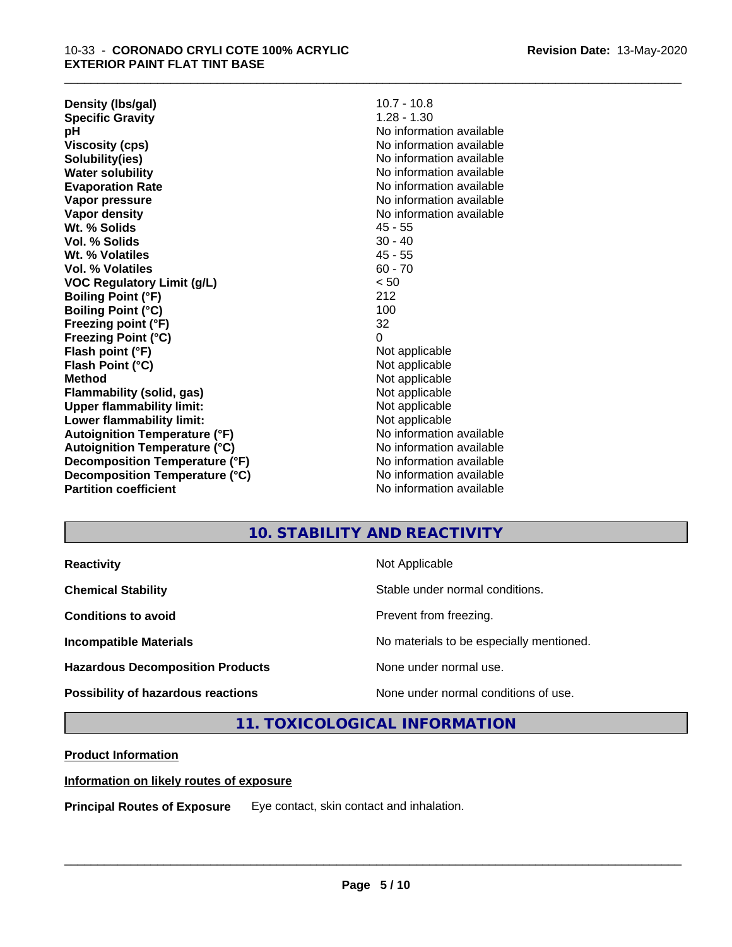**Density (lbs/gal)** 10.7 - 10.8<br> **Specific Gravity** 1.28 - 1.30 **Specific Gravity pH** No information available **Viscosity (cps)** No information available **Solubility(ies)** No information available **Water solubility** No information available **Evaporation Rate** Note 2008 and 2009 No information available **Vapor pressure** No information available in the North American Monte available in the North American available **Vapor density** No information available values and values of  $\alpha$  No information available **Wt. % Solids** 45 - 55 **Vol. % Solids** 30 - 40 **Wt. % Volatiles** 45 - 55 **Vol. % Volatiles** 60 - 70 **VOC Regulatory Limit (g/L)** < 50 **Boiling Point (°F)** 212 **Boiling Point (°C)** 100 **Freezing point (°F)** 32 **Freezing Point (°C)** 0 **Flash point (°F)**<br> **Flash Point (°C)**<br> **Flash Point (°C)**<br> **Not** applicable **Flash Point (°C) Method** Not applicable **Flammability (solid, gas)** Not applicable **Upper flammability limit:**<br> **Lower flammability limit:**<br>
Not applicable<br>
Not applicable **Lower flammability limit:**<br> **Autoignition Temperature (°F)** Not applicable havailable available **Autoignition Temperature (°F)**<br> **Autoignition Temperature (°C)** No information available **Autoignition Temperature (°C) Decomposition Temperature (°F)** No information available **Decomposition Temperature (°C)**<br> **Partition coefficient**<br> **Partition coefficient**<br> **No** information available

**No information available** 

\_\_\_\_\_\_\_\_\_\_\_\_\_\_\_\_\_\_\_\_\_\_\_\_\_\_\_\_\_\_\_\_\_\_\_\_\_\_\_\_\_\_\_\_\_\_\_\_\_\_\_\_\_\_\_\_\_\_\_\_\_\_\_\_\_\_\_\_\_\_\_\_\_\_\_\_\_\_\_\_\_\_\_\_\_\_\_\_\_\_\_\_\_

# **10. STABILITY AND REACTIVITY**

| <b>Reactivity</b>                       | Not Applicable                           |
|-----------------------------------------|------------------------------------------|
| <b>Chemical Stability</b>               | Stable under normal conditions.          |
| <b>Conditions to avoid</b>              | Prevent from freezing.                   |
| <b>Incompatible Materials</b>           | No materials to be especially mentioned. |
| <b>Hazardous Decomposition Products</b> | None under normal use.                   |
| Possibility of hazardous reactions      | None under normal conditions of use.     |

# **11. TOXICOLOGICAL INFORMATION**

# **Product Information**

# **Information on likely routes of exposure**

**Principal Routes of Exposure** Eye contact, skin contact and inhalation.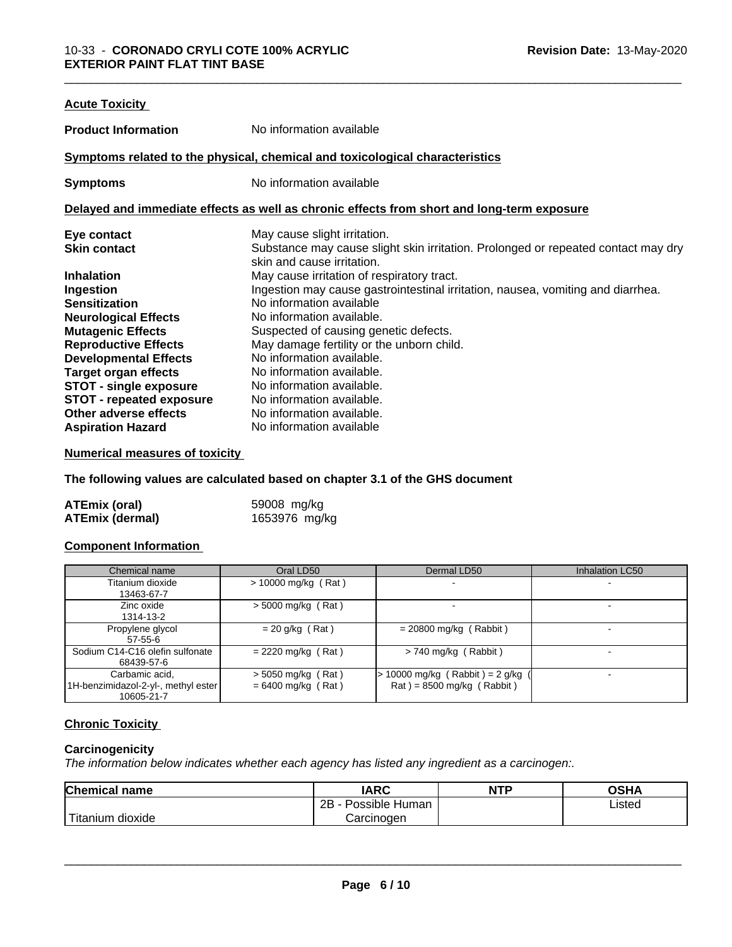| <b>Acute Toxicity</b>           |                                                                                                                 |
|---------------------------------|-----------------------------------------------------------------------------------------------------------------|
| <b>Product Information</b>      | No information available                                                                                        |
|                                 | Symptoms related to the physical, chemical and toxicological characteristics                                    |
| <b>Symptoms</b>                 | No information available                                                                                        |
|                                 | Delayed and immediate effects as well as chronic effects from short and long-term exposure                      |
| Eye contact                     | May cause slight irritation.                                                                                    |
| <b>Skin contact</b>             | Substance may cause slight skin irritation. Prolonged or repeated contact may dry<br>skin and cause irritation. |
| <b>Inhalation</b>               | May cause irritation of respiratory tract.                                                                      |
| Ingestion                       | Ingestion may cause gastrointestinal irritation, nausea, vomiting and diarrhea.                                 |
| <b>Sensitization</b>            | No information available                                                                                        |
| <b>Neurological Effects</b>     | No information available.                                                                                       |
| <b>Mutagenic Effects</b>        | Suspected of causing genetic defects.                                                                           |
| <b>Reproductive Effects</b>     | May damage fertility or the unborn child.                                                                       |
| <b>Developmental Effects</b>    | No information available.                                                                                       |
| <b>Target organ effects</b>     | No information available.                                                                                       |
| STOT - single exposure          | No information available.                                                                                       |
| <b>STOT - repeated exposure</b> | No information available.                                                                                       |
| Other adverse effects           | No information available.                                                                                       |
| <b>Aspiration Hazard</b>        | No information available                                                                                        |

# **Numerical measures of toxicity**

**The following values are calculated based on chapter 3.1 of the GHS document**

| <b>ATEmix (oral)</b>   | 59008 mg/kg   |
|------------------------|---------------|
| <b>ATEmix (dermal)</b> | 1653976 mg/kg |

# **Component Information**

| Chemical name                                                       | Oral LD50                                    | Dermal LD50                                                        | Inhalation LC50 |
|---------------------------------------------------------------------|----------------------------------------------|--------------------------------------------------------------------|-----------------|
| Titanium dioxide<br>13463-67-7                                      | $> 10000$ mg/kg (Rat)                        |                                                                    |                 |
| Zinc oxide<br>1314-13-2                                             | $>$ 5000 mg/kg (Rat)                         |                                                                    |                 |
| Propylene glycol<br>$57 - 55 - 6$                                   | $= 20$ g/kg (Rat)                            | $= 20800$ mg/kg (Rabbit)                                           |                 |
| Sodium C14-C16 olefin sulfonate<br>68439-57-6                       | $= 2220$ mg/kg (Rat)                         | $> 740$ mg/kg (Rabbit)                                             | -               |
| Carbamic acid,<br>1H-benzimidazol-2-yl-, methyl ester<br>10605-21-7 | $>$ 5050 mg/kg (Rat)<br>$= 6400$ mg/kg (Rat) | $> 10000$ mg/kg (Rabbit) = 2 g/kg (<br>$Rat$ = 8500 mg/kg (Rabbit) |                 |

# **Chronic Toxicity**

# **Carcinogenicity**

*The information below indicateswhether each agency has listed any ingredient as a carcinogen:.*

| <b>Chemical name</b>                                                                                                                                                                                                                                         | <b>IARC</b>                    | <b>NTP</b> | OSHA   |  |
|--------------------------------------------------------------------------------------------------------------------------------------------------------------------------------------------------------------------------------------------------------------|--------------------------------|------------|--------|--|
|                                                                                                                                                                                                                                                              | . .<br>2B<br>Possible<br>Human |            | Listed |  |
| <b>The Contract of the Contract of the Contract of the Contract of the Contract of the Contract of the Contract of The Contract of The Contract of The Contract of The Contract of The Contract of The Contract of The Contract </b><br>dioxide<br>l ıtanıum | Carcinogen                     |            |        |  |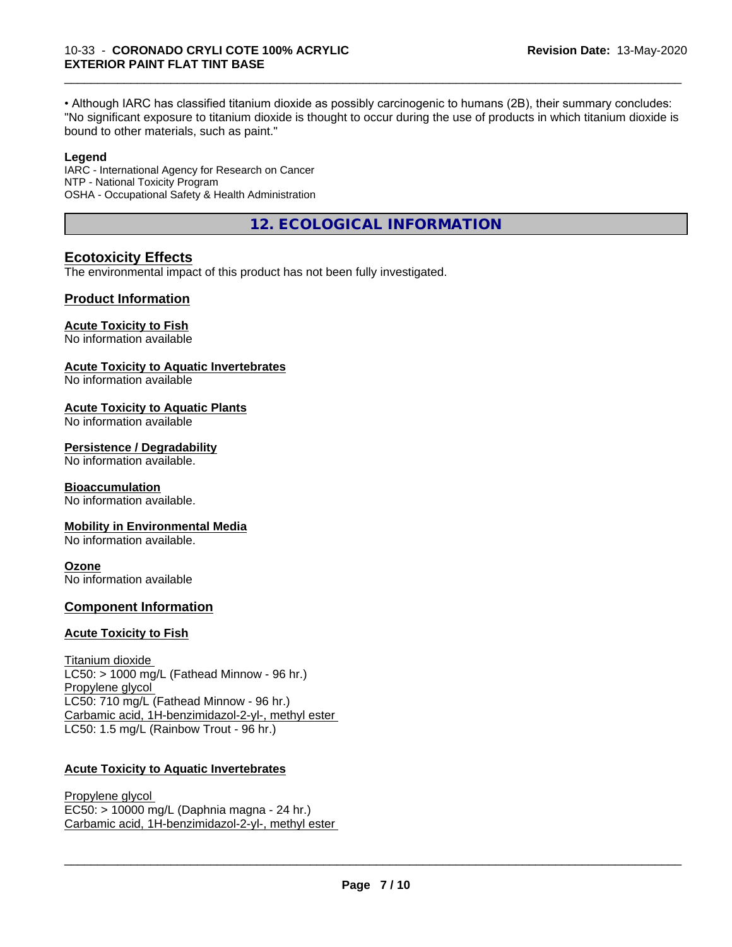• Although IARC has classified titanium dioxide as possibly carcinogenic to humans (2B), their summary concludes: "No significant exposure to titanium dioxide is thought to occur during the use of products in which titanium dioxide is bound to other materials, such as paint."

\_\_\_\_\_\_\_\_\_\_\_\_\_\_\_\_\_\_\_\_\_\_\_\_\_\_\_\_\_\_\_\_\_\_\_\_\_\_\_\_\_\_\_\_\_\_\_\_\_\_\_\_\_\_\_\_\_\_\_\_\_\_\_\_\_\_\_\_\_\_\_\_\_\_\_\_\_\_\_\_\_\_\_\_\_\_\_\_\_\_\_\_\_

### **Legend**

IARC - International Agency for Research on Cancer NTP - National Toxicity Program OSHA - Occupational Safety & Health Administration

**12. ECOLOGICAL INFORMATION**

# **Ecotoxicity Effects**

The environmental impact of this product has not been fully investigated.

# **Product Information**

### **Acute Toxicity to Fish**

No information available

### **Acute Toxicity to Aquatic Invertebrates**

No information available

### **Acute Toxicity to Aquatic Plants**

No information available

### **Persistence / Degradability**

No information available.

# **Bioaccumulation**

No information available.

# **Mobility in Environmental Media**

No information available.

# **Ozone**

No information available

# **Component Information**

# **Acute Toxicity to Fish**

Titanium dioxide  $LC50:$  > 1000 mg/L (Fathead Minnow - 96 hr.) Propylene glycol LC50: 710 mg/L (Fathead Minnow - 96 hr.) Carbamic acid, 1H-benzimidazol-2-yl-, methyl ester LC50: 1.5 mg/L (Rainbow Trout - 96 hr.)

# **Acute Toxicity to Aquatic Invertebrates**

Propylene glycol EC50: > 10000 mg/L (Daphnia magna - 24 hr.) Carbamic acid, 1H-benzimidazol-2-yl-, methyl ester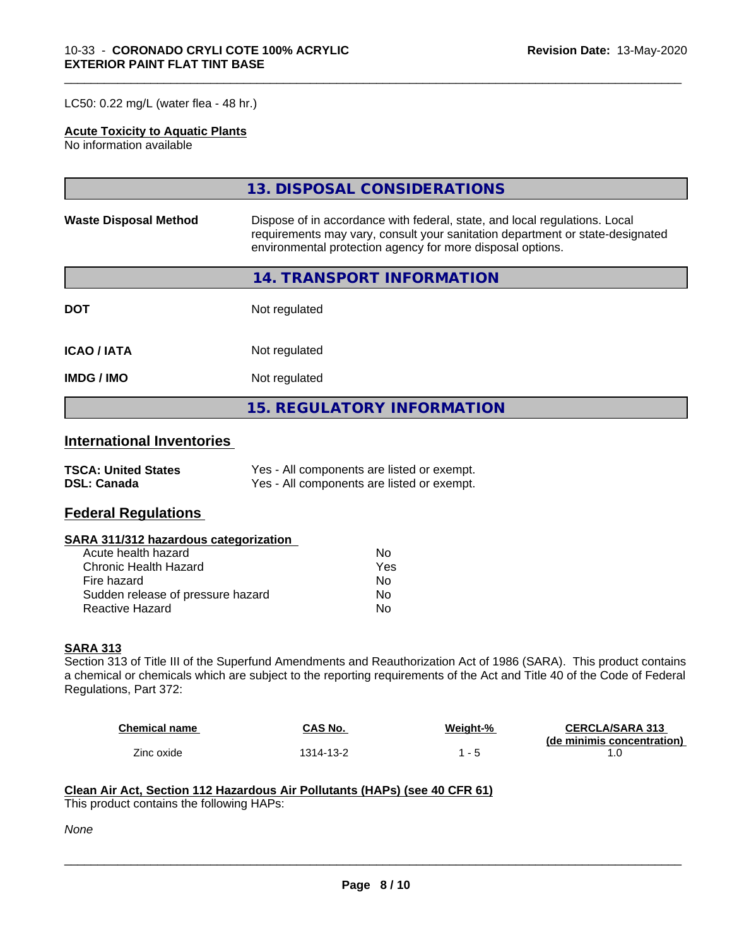LC50: 0.22 mg/L (water flea - 48 hr.)

# **Acute Toxicity to Aquatic Plants**

No information available

|                              | 13. DISPOSAL CONSIDERATIONS                                                                                                                                                                                               |  |
|------------------------------|---------------------------------------------------------------------------------------------------------------------------------------------------------------------------------------------------------------------------|--|
| <b>Waste Disposal Method</b> | Dispose of in accordance with federal, state, and local regulations. Local<br>requirements may vary, consult your sanitation department or state-designated<br>environmental protection agency for more disposal options. |  |
|                              | <b>14. TRANSPORT INFORMATION</b>                                                                                                                                                                                          |  |
| <b>DOT</b>                   | Not regulated                                                                                                                                                                                                             |  |
| <b>ICAO/IATA</b>             | Not regulated                                                                                                                                                                                                             |  |
| <b>IMDG/IMO</b>              | Not regulated                                                                                                                                                                                                             |  |
|                              | <b>15. REGULATORY INFORMATION</b>                                                                                                                                                                                         |  |

\_\_\_\_\_\_\_\_\_\_\_\_\_\_\_\_\_\_\_\_\_\_\_\_\_\_\_\_\_\_\_\_\_\_\_\_\_\_\_\_\_\_\_\_\_\_\_\_\_\_\_\_\_\_\_\_\_\_\_\_\_\_\_\_\_\_\_\_\_\_\_\_\_\_\_\_\_\_\_\_\_\_\_\_\_\_\_\_\_\_\_\_\_

# **International Inventories**

| <b>TSCA: United States</b> | Yes - All components are listed or exempt. |
|----------------------------|--------------------------------------------|
| <b>DSL: Canada</b>         | Yes - All components are listed or exempt. |

# **Federal Regulations**

#### **SARA 311/312 hazardous categorization**

| Acute health hazard               | Nο  |
|-----------------------------------|-----|
| Chronic Health Hazard             | Yes |
| Fire hazard                       | N٥  |
| Sudden release of pressure hazard | Nο  |
| Reactive Hazard                   | N٥  |

#### **SARA 313**

Section 313 of Title III of the Superfund Amendments and Reauthorization Act of 1986 (SARA). This product contains a chemical or chemicals which are subject to the reporting requirements of the Act and Title 40 of the Code of Federal Regulations, Part 372:

| <b>Chemical name</b> | CAS No.   | Weight-% | <b>CERCLA/SARA 313</b>     |
|----------------------|-----------|----------|----------------------------|
|                      |           |          | (de minimis concentration) |
| Zinc oxide           | 1314-13-2 |          |                            |

 $\overline{\phantom{a}}$  ,  $\overline{\phantom{a}}$  ,  $\overline{\phantom{a}}$  ,  $\overline{\phantom{a}}$  ,  $\overline{\phantom{a}}$  ,  $\overline{\phantom{a}}$  ,  $\overline{\phantom{a}}$  ,  $\overline{\phantom{a}}$  ,  $\overline{\phantom{a}}$  ,  $\overline{\phantom{a}}$  ,  $\overline{\phantom{a}}$  ,  $\overline{\phantom{a}}$  ,  $\overline{\phantom{a}}$  ,  $\overline{\phantom{a}}$  ,  $\overline{\phantom{a}}$  ,  $\overline{\phantom{a}}$ 

### **Clean Air Act,Section 112 Hazardous Air Pollutants (HAPs) (see 40 CFR 61)**

This product contains the following HAPs:

*None*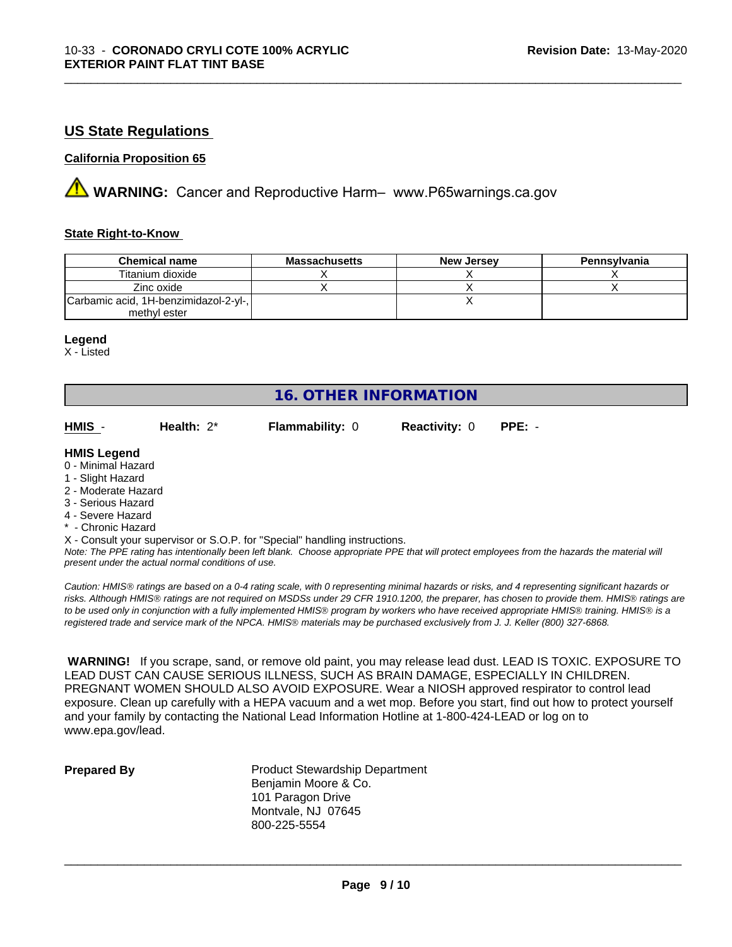# **US State Regulations**

# **California Proposition 65**

**AVIMARNING:** Cancer and Reproductive Harm– www.P65warnings.ca.gov

### **State Right-to-Know**

| <b>Chemical name</b>                  | <b>Massachusetts</b> | <b>New Jersey</b> | <b>Pennsylvania</b> |
|---------------------------------------|----------------------|-------------------|---------------------|
| Titanium dioxide                      |                      |                   |                     |
| Zinc oxide                            |                      |                   |                     |
| Carbamic acid, 1H-benzimidazol-2-yl-, |                      |                   |                     |
| methyl ester                          |                      |                   |                     |

\_\_\_\_\_\_\_\_\_\_\_\_\_\_\_\_\_\_\_\_\_\_\_\_\_\_\_\_\_\_\_\_\_\_\_\_\_\_\_\_\_\_\_\_\_\_\_\_\_\_\_\_\_\_\_\_\_\_\_\_\_\_\_\_\_\_\_\_\_\_\_\_\_\_\_\_\_\_\_\_\_\_\_\_\_\_\_\_\_\_\_\_\_

#### **Legend**

X - Listed

# **16. OTHER INFORMATION**

| HMIS | Health: $2^*$ | <b>Flammability: 0</b> | <b>Reactivity: 0 PPE: -</b> |  |
|------|---------------|------------------------|-----------------------------|--|
|      |               |                        |                             |  |

### **HMIS Legend**

- 0 Minimal Hazard
- 1 Slight Hazard
- 2 Moderate Hazard
- 3 Serious Hazard
- 4 Severe Hazard
- \* Chronic Hazard
- X Consult your supervisor or S.O.P. for "Special" handling instructions.

*Note: The PPE rating has intentionally been left blank. Choose appropriate PPE that will protect employees from the hazards the material will present under the actual normal conditions of use.*

*Caution: HMISÒ ratings are based on a 0-4 rating scale, with 0 representing minimal hazards or risks, and 4 representing significant hazards or risks. Although HMISÒ ratings are not required on MSDSs under 29 CFR 1910.1200, the preparer, has chosen to provide them. HMISÒ ratings are to be used only in conjunction with a fully implemented HMISÒ program by workers who have received appropriate HMISÒ training. HMISÒ is a registered trade and service mark of the NPCA. HMISÒ materials may be purchased exclusively from J. J. Keller (800) 327-6868.*

 **WARNING!** If you scrape, sand, or remove old paint, you may release lead dust. LEAD IS TOXIC. EXPOSURE TO LEAD DUST CAN CAUSE SERIOUS ILLNESS, SUCH AS BRAIN DAMAGE, ESPECIALLY IN CHILDREN. PREGNANT WOMEN SHOULD ALSO AVOID EXPOSURE.Wear a NIOSH approved respirator to control lead exposure. Clean up carefully with a HEPA vacuum and a wet mop. Before you start, find out how to protect yourself and your family by contacting the National Lead Information Hotline at 1-800-424-LEAD or log on to www.epa.gov/lead.

**Prepared By** Product Stewardship Department Benjamin Moore & Co. 101 Paragon Drive Montvale, NJ 07645 800-225-5554